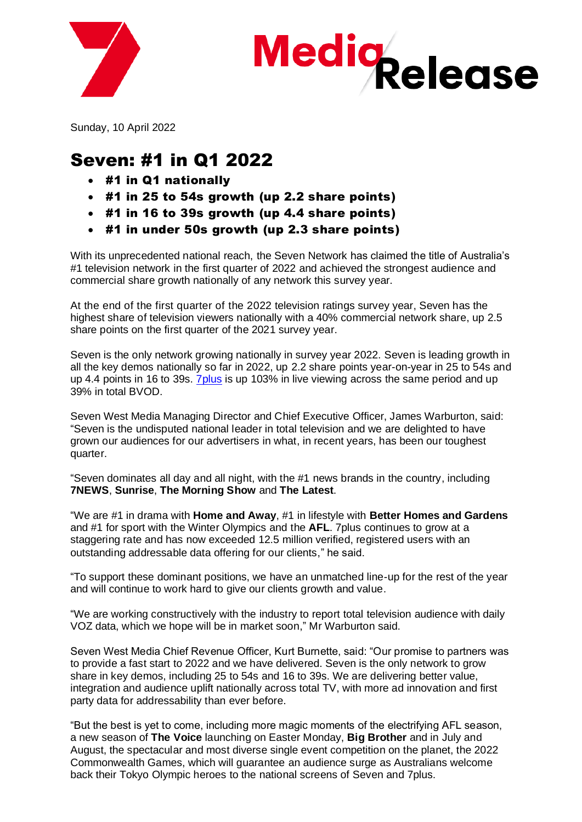



Sunday, 10 April 2022

# Seven: #1 in Q1 2022

- #1 in Q1 nationally
- #1 in 25 to 54s growth (up 2.2 share points)
- #1 in 16 to 39s growth (up 4.4 share points)
- #1 in under 50s growth (up 2.3 share points)

With its unprecedented national reach, the Seven Network has claimed the title of Australia's #1 television network in the first quarter of 2022 and achieved the strongest audience and commercial share growth nationally of any network this survey year.

At the end of the first quarter of the 2022 television ratings survey year, Seven has the highest share of television viewers nationally with a 40% commercial network share, up 2.5 share points on the first quarter of the 2021 survey year.

Seven is the only network growing nationally in survey year 2022. Seven is leading growth in all the key demos nationally so far in 2022, up 2.2 share points year-on-year in 25 to 54s and up 4.4 points in 16 to 39s. [7plus](https://7plus.com.au/) is up 103% in live viewing across the same period and up 39% in total BVOD.

Seven West Media Managing Director and Chief Executive Officer, James Warburton, said: "Seven is the undisputed national leader in total television and we are delighted to have grown our audiences for our advertisers in what, in recent years, has been our toughest quarter.

"Seven dominates all day and all night, with the #1 news brands in the country, including **7NEWS**, **Sunrise**, **The Morning Show** and **The Latest**.

"We are #1 in drama with **Home and Away**, #1 in lifestyle with **Better Homes and Gardens** and #1 for sport with the Winter Olympics and the **AFL**. 7plus continues to grow at a staggering rate and has now exceeded 12.5 million verified, registered users with an outstanding addressable data offering for our clients," he said.

"To support these dominant positions, we have an unmatched line-up for the rest of the year and will continue to work hard to give our clients growth and value.

"We are working constructively with the industry to report total television audience with daily VOZ data, which we hope will be in market soon," Mr Warburton said.

Seven West Media Chief Revenue Officer, Kurt Burnette, said: "Our promise to partners was to provide a fast start to 2022 and we have delivered. Seven is the only network to grow share in key demos, including 25 to 54s and 16 to 39s. We are delivering better value, integration and audience uplift nationally across total TV, with more ad innovation and first party data for addressability than ever before.

"But the best is yet to come, including more magic moments of the electrifying AFL season, a new season of **The Voice** launching on Easter Monday, **Big Brother** and in July and August, the spectacular and most diverse single event competition on the planet, the 2022 Commonwealth Games, which will guarantee an audience surge as Australians welcome back their Tokyo Olympic heroes to the national screens of Seven and 7plus.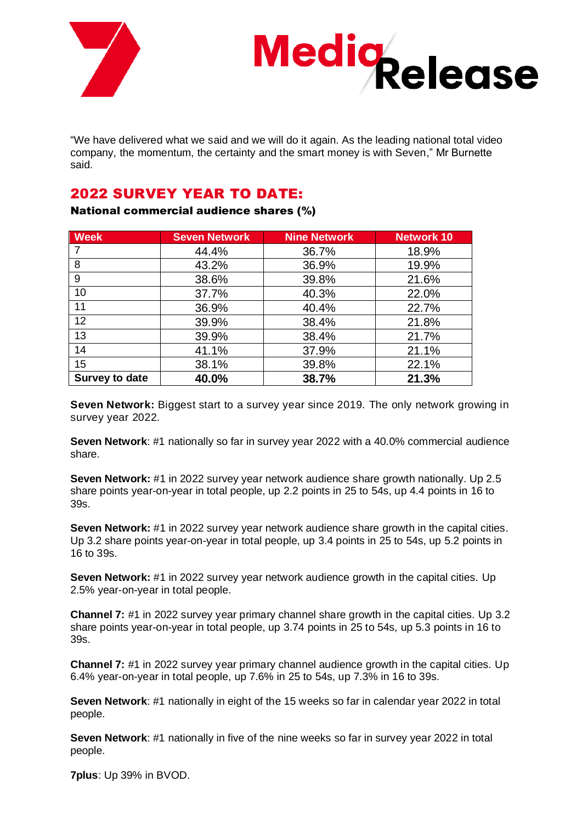



"We have delivered what we said and we will do it again. As the leading national total video company, the momentum, the certainty and the smart money is with Seven," Mr Burnette said.

## 2022 SURVEY YEAR TO DATE:

National commercial audience shares (%)

| <b>Week</b>    | <b>Seven Network</b> | <b>Nine Network</b> | <b>Network 10</b> |
|----------------|----------------------|---------------------|-------------------|
|                | 44.4%                | 36.7%               | 18.9%             |
| 8              | 43.2%                | 36.9%               | 19.9%             |
| 9              | 38.6%                | 39.8%               | 21.6%             |
| 10             | 37.7%                | 40.3%               | 22.0%             |
| 11             | 36.9%                | 40.4%               | 22.7%             |
| 12             | 39.9%                | 38.4%               | 21.8%             |
| 13             | 39.9%                | 38.4%               | 21.7%             |
| 14             | 41.1%                | 37.9%               | 21.1%             |
| 15             | 38.1%                | 39.8%               | 22.1%             |
| Survey to date | 40.0%                | 38.7%               | 21.3%             |

**Seven Network:** Biggest start to a survey year since 2019. The only network growing in survey year 2022.

**Seven Network**: #1 nationally so far in survey year 2022 with a 40.0% commercial audience share.

**Seven Network:** #1 in 2022 survey year network audience share growth nationally. Up 2.5 share points year-on-year in total people, up 2.2 points in 25 to 54s, up 4.4 points in 16 to 39s.

**Seven Network:** #1 in 2022 survey year network audience share growth in the capital cities. Up 3.2 share points year-on-year in total people, up 3.4 points in 25 to 54s, up 5.2 points in 16 to 39s.

**Seven Network:** #1 in 2022 survey year network audience growth in the capital cities. Up 2.5% year-on-year in total people.

**Channel 7:** #1 in 2022 survey year primary channel share growth in the capital cities. Up 3.2 share points year-on-year in total people, up 3.74 points in 25 to 54s, up 5.3 points in 16 to 39s.

**Channel 7:** #1 in 2022 survey year primary channel audience growth in the capital cities. Up 6.4% year-on-year in total people, up 7.6% in 25 to 54s, up 7.3% in 16 to 39s.

**Seven Network**: #1 nationally in eight of the 15 weeks so far in calendar year 2022 in total people.

**Seven Network**: #1 nationally in five of the nine weeks so far in survey year 2022 in total people.

**7plus**: Up 39% in BVOD.